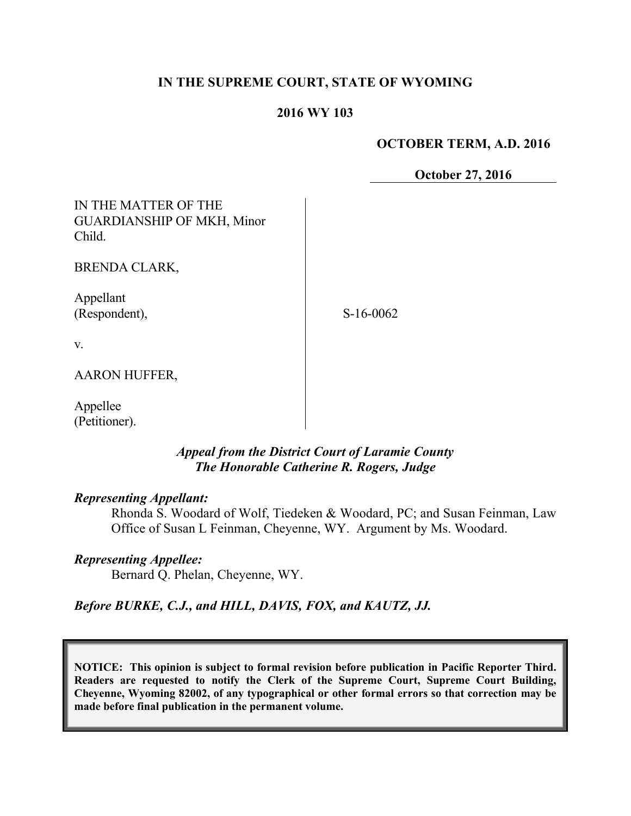## **IN THE SUPREME COURT, STATE OF WYOMING**

#### **2016 WY 103**

#### **OCTOBER TERM, A.D. 2016**

**October 27, 2016**

IN THE MATTER OF THE GUARDIANSHIP OF MKH, Minor Child.

BRENDA CLARK,

Appellant (Respondent),

S-16-0062

v.

AARON HUFFER,

Appellee (Petitioner).

## *Appeal from the District Court of Laramie County The Honorable Catherine R. Rogers, Judge*

#### *Representing Appellant:*

Rhonda S. Woodard of Wolf, Tiedeken & Woodard, PC; and Susan Feinman, Law Office of Susan L Feinman, Cheyenne, WY. Argument by Ms. Woodard.

### *Representing Appellee:*

Bernard Q. Phelan, Cheyenne, WY.

*Before BURKE, C.J., and HILL, DAVIS, FOX, and KAUTZ, JJ.*

**NOTICE: This opinion is subject to formal revision before publication in Pacific Reporter Third. Readers are requested to notify the Clerk of the Supreme Court, Supreme Court Building, Cheyenne, Wyoming 82002, of any typographical or other formal errors so that correction may be made before final publication in the permanent volume.**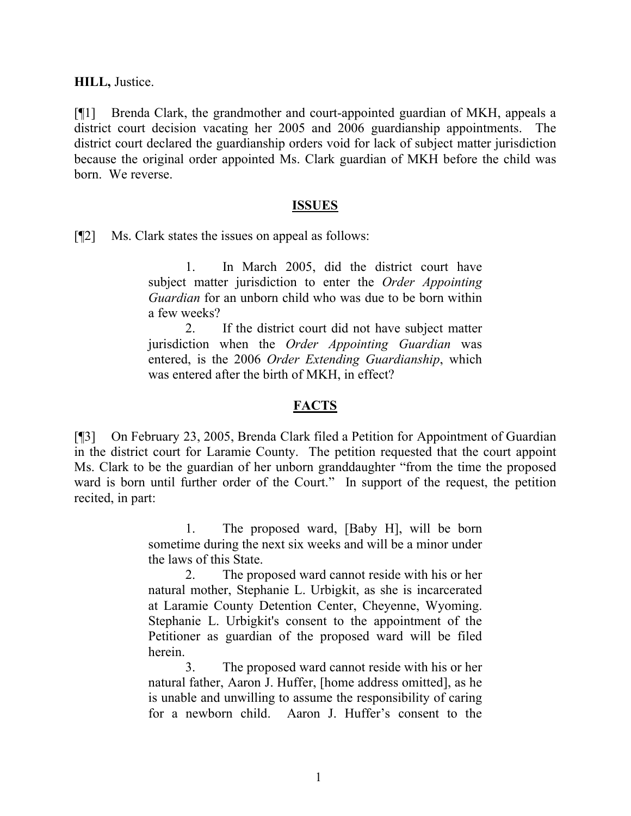**HILL,** Justice.

[¶1] Brenda Clark, the grandmother and court-appointed guardian of MKH, appeals a district court decision vacating her 2005 and 2006 guardianship appointments. The district court declared the guardianship orders void for lack of subject matter jurisdiction because the original order appointed Ms. Clark guardian of MKH before the child was born. We reverse.

#### **ISSUES**

[¶2] Ms. Clark states the issues on appeal as follows:

1. In March 2005, did the district court have subject matter jurisdiction to enter the *Order Appointing Guardian* for an unborn child who was due to be born within a few weeks?

2. If the district court did not have subject matter jurisdiction when the *Order Appointing Guardian* was entered, is the 2006 *Order Extending Guardianship*, which was entered after the birth of MKH, in effect?

## **FACTS**

[¶3] On February 23, 2005, Brenda Clark filed a Petition for Appointment of Guardian in the district court for Laramie County. The petition requested that the court appoint Ms. Clark to be the guardian of her unborn granddaughter "from the time the proposed ward is born until further order of the Court." In support of the request, the petition recited, in part:

> 1. The proposed ward, [Baby H], will be born sometime during the next six weeks and will be a minor under the laws of this State.

> 2. The proposed ward cannot reside with his or her natural mother, Stephanie L. Urbigkit, as she is incarcerated at Laramie County Detention Center, Cheyenne, Wyoming. Stephanie L. Urbigkit's consent to the appointment of the Petitioner as guardian of the proposed ward will be filed herein.

> 3. The proposed ward cannot reside with his or her natural father, Aaron J. Huffer, [home address omitted], as he is unable and unwilling to assume the responsibility of caring for a newborn child. Aaron J. Huffer's consent to the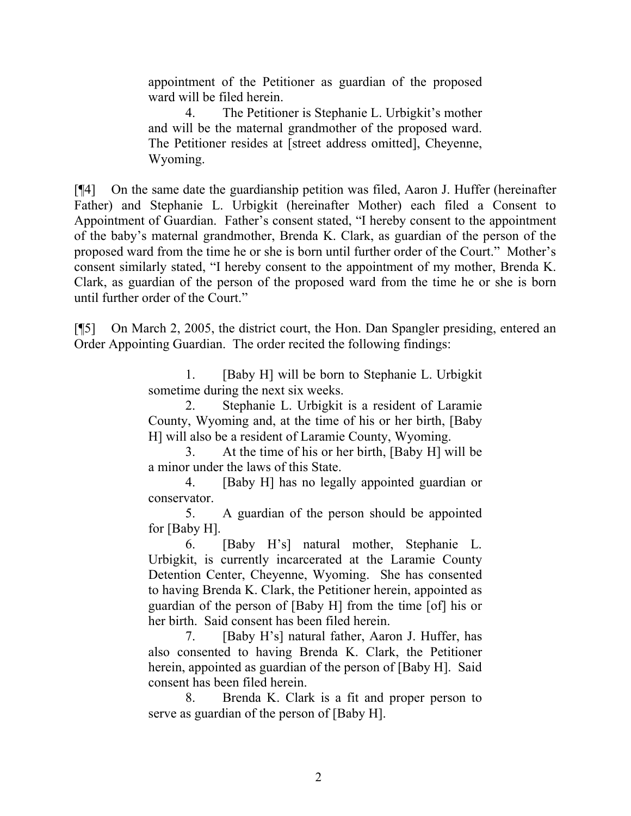appointment of the Petitioner as guardian of the proposed ward will be filed herein.

4. The Petitioner is Stephanie L. Urbigkit's mother and will be the maternal grandmother of the proposed ward. The Petitioner resides at [street address omitted], Cheyenne, Wyoming.

[¶4] On the same date the guardianship petition was filed, Aaron J. Huffer (hereinafter Father) and Stephanie L. Urbigkit (hereinafter Mother) each filed a Consent to Appointment of Guardian. Father's consent stated, "I hereby consent to the appointment of the baby's maternal grandmother, Brenda K. Clark, as guardian of the person of the proposed ward from the time he or she is born until further order of the Court." Mother's consent similarly stated, "I hereby consent to the appointment of my mother, Brenda K. Clark, as guardian of the person of the proposed ward from the time he or she is born until further order of the Court."

[¶5] On March 2, 2005, the district court, the Hon. Dan Spangler presiding, entered an Order Appointing Guardian. The order recited the following findings:

> 1. [Baby H] will be born to Stephanie L. Urbigkit sometime during the next six weeks.

> 2. Stephanie L. Urbigkit is a resident of Laramie County, Wyoming and, at the time of his or her birth, [Baby H] will also be a resident of Laramie County, Wyoming.

> 3. At the time of his or her birth, [Baby H] will be a minor under the laws of this State.

> 4. [Baby H] has no legally appointed guardian or conservator.

> 5. A guardian of the person should be appointed for [Baby H].

> 6. [Baby H's] natural mother, Stephanie L. Urbigkit, is currently incarcerated at the Laramie County Detention Center, Cheyenne, Wyoming. She has consented to having Brenda K. Clark, the Petitioner herein, appointed as guardian of the person of [Baby H] from the time [of] his or her birth. Said consent has been filed herein.

> 7. [Baby H's] natural father, Aaron J. Huffer, has also consented to having Brenda K. Clark, the Petitioner herein, appointed as guardian of the person of [Baby H]. Said consent has been filed herein.

> 8. Brenda K. Clark is a fit and proper person to serve as guardian of the person of [Baby H].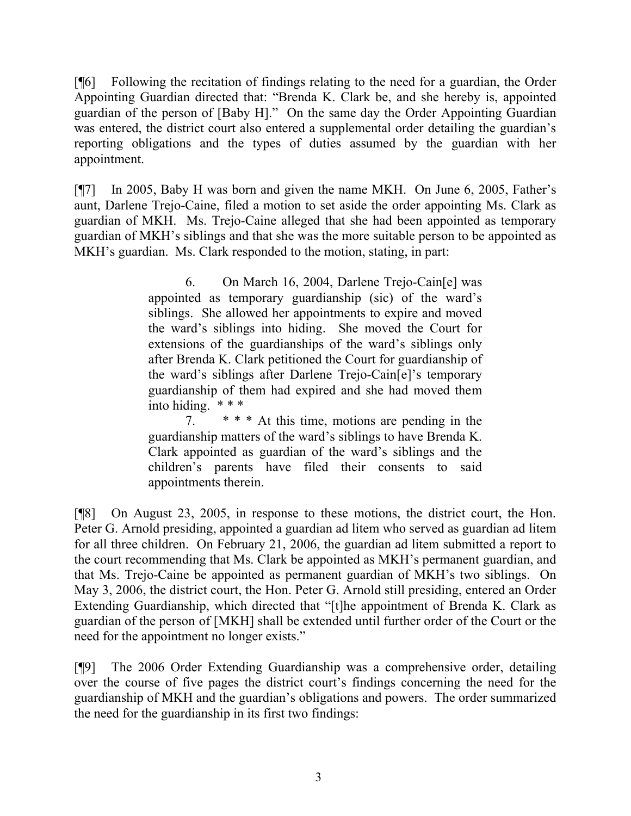[¶6] Following the recitation of findings relating to the need for a guardian, the Order Appointing Guardian directed that: "Brenda K. Clark be, and she hereby is, appointed guardian of the person of [Baby H]." On the same day the Order Appointing Guardian was entered, the district court also entered a supplemental order detailing the guardian's reporting obligations and the types of duties assumed by the guardian with her appointment.

[¶7] In 2005, Baby H was born and given the name MKH. On June 6, 2005, Father's aunt, Darlene Trejo-Caine, filed a motion to set aside the order appointing Ms. Clark as guardian of MKH. Ms. Trejo-Caine alleged that she had been appointed as temporary guardian of MKH's siblings and that she was the more suitable person to be appointed as MKH's guardian. Ms. Clark responded to the motion, stating, in part:

> 6. On March 16, 2004, Darlene Trejo-Cain[e] was appointed as temporary guardianship (sic) of the ward's siblings. She allowed her appointments to expire and moved the ward's siblings into hiding. She moved the Court for extensions of the guardianships of the ward's siblings only after Brenda K. Clark petitioned the Court for guardianship of the ward's siblings after Darlene Trejo-Cain[e]'s temporary guardianship of them had expired and she had moved them into hiding. \* \* \*

> 7. \* \* \* At this time, motions are pending in the guardianship matters of the ward's siblings to have Brenda K. Clark appointed as guardian of the ward's siblings and the children's parents have filed their consents to said appointments therein.

[¶8] On August 23, 2005, in response to these motions, the district court, the Hon. Peter G. Arnold presiding, appointed a guardian ad litem who served as guardian ad litem for all three children. On February 21, 2006, the guardian ad litem submitted a report to the court recommending that Ms. Clark be appointed as MKH's permanent guardian, and that Ms. Trejo-Caine be appointed as permanent guardian of MKH's two siblings. On May 3, 2006, the district court, the Hon. Peter G. Arnold still presiding, entered an Order Extending Guardianship, which directed that "[t]he appointment of Brenda K. Clark as guardian of the person of [MKH] shall be extended until further order of the Court or the need for the appointment no longer exists."

[¶9] The 2006 Order Extending Guardianship was a comprehensive order, detailing over the course of five pages the district court's findings concerning the need for the guardianship of MKH and the guardian's obligations and powers. The order summarized the need for the guardianship in its first two findings: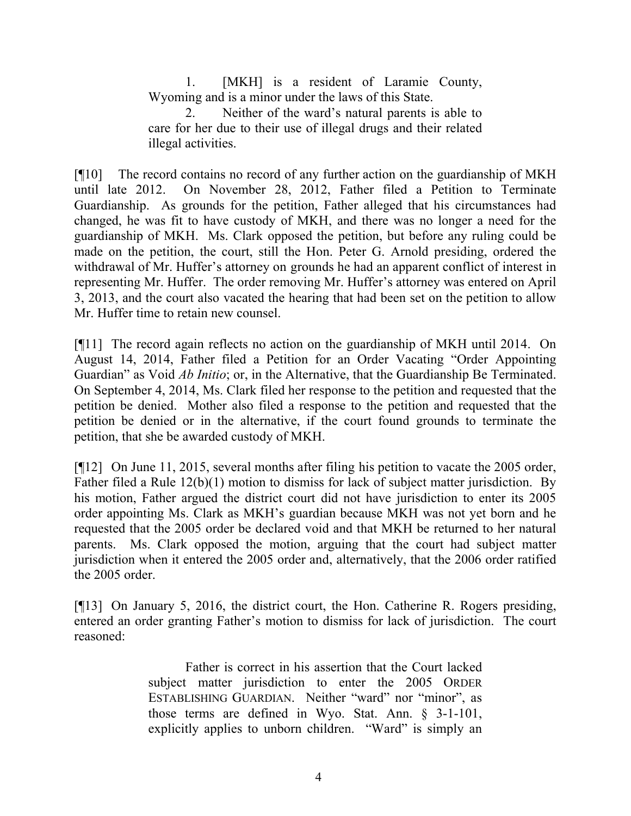1. [MKH] is a resident of Laramie County, Wyoming and is a minor under the laws of this State.

2. Neither of the ward's natural parents is able to care for her due to their use of illegal drugs and their related illegal activities.

[¶10] The record contains no record of any further action on the guardianship of MKH until late 2012. On November 28, 2012, Father filed a Petition to Terminate Guardianship. As grounds for the petition, Father alleged that his circumstances had changed, he was fit to have custody of MKH, and there was no longer a need for the guardianship of MKH. Ms. Clark opposed the petition, but before any ruling could be made on the petition, the court, still the Hon. Peter G. Arnold presiding, ordered the withdrawal of Mr. Huffer's attorney on grounds he had an apparent conflict of interest in representing Mr. Huffer. The order removing Mr. Huffer's attorney was entered on April 3, 2013, and the court also vacated the hearing that had been set on the petition to allow Mr. Huffer time to retain new counsel.

[¶11] The record again reflects no action on the guardianship of MKH until 2014. On August 14, 2014, Father filed a Petition for an Order Vacating "Order Appointing Guardian" as Void *Ab Initio*; or, in the Alternative, that the Guardianship Be Terminated. On September 4, 2014, Ms. Clark filed her response to the petition and requested that the petition be denied. Mother also filed a response to the petition and requested that the petition be denied or in the alternative, if the court found grounds to terminate the petition, that she be awarded custody of MKH.

[¶12] On June 11, 2015, several months after filing his petition to vacate the 2005 order, Father filed a Rule 12(b)(1) motion to dismiss for lack of subject matter jurisdiction. By his motion, Father argued the district court did not have jurisdiction to enter its 2005 order appointing Ms. Clark as MKH's guardian because MKH was not yet born and he requested that the 2005 order be declared void and that MKH be returned to her natural parents. Ms. Clark opposed the motion, arguing that the court had subject matter jurisdiction when it entered the 2005 order and, alternatively, that the 2006 order ratified the 2005 order.

[¶13] On January 5, 2016, the district court, the Hon. Catherine R. Rogers presiding, entered an order granting Father's motion to dismiss for lack of jurisdiction. The court reasoned:

> Father is correct in his assertion that the Court lacked subject matter jurisdiction to enter the 2005 ORDER ESTABLISHING GUARDIAN. Neither "ward" nor "minor", as those terms are defined in Wyo. Stat. Ann. § 3-1-101, explicitly applies to unborn children. "Ward" is simply an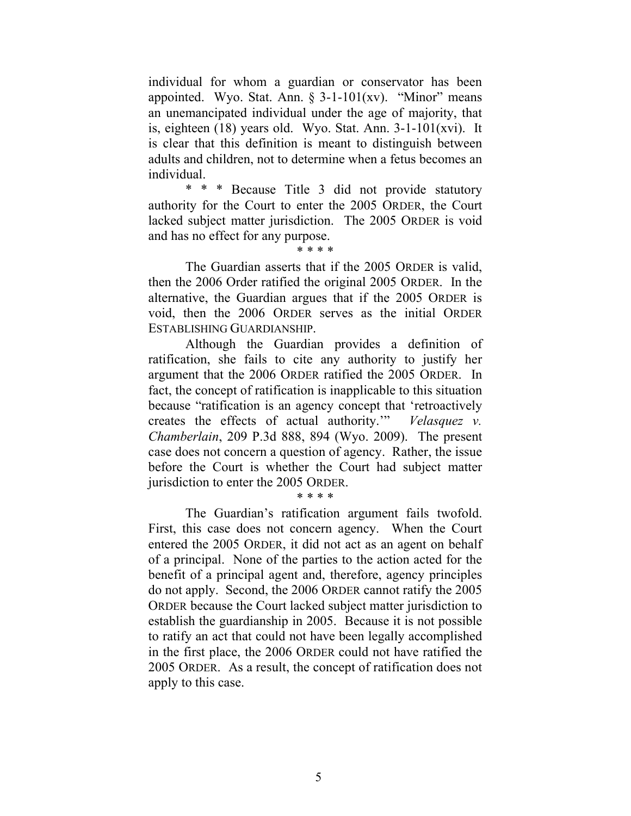individual for whom a guardian or conservator has been appointed. Wyo. Stat. Ann.  $\S$  3-1-101(xv). "Minor" means an unemancipated individual under the age of majority, that is, eighteen  $(18)$  years old. Wyo. Stat. Ann.  $3-1-101(xvi)$ . It is clear that this definition is meant to distinguish between adults and children, not to determine when a fetus becomes an individual.

\* \* \* Because Title 3 did not provide statutory authority for the Court to enter the 2005 ORDER, the Court lacked subject matter jurisdiction. The 2005 ORDER is void and has no effect for any purpose.

\* \* \* \*

The Guardian asserts that if the 2005 ORDER is valid, then the 2006 Order ratified the original 2005 ORDER. In the alternative, the Guardian argues that if the 2005 ORDER is void, then the 2006 ORDER serves as the initial ORDER ESTABLISHING GUARDIANSHIP.

Although the Guardian provides a definition of ratification, she fails to cite any authority to justify her argument that the 2006 ORDER ratified the 2005 ORDER. In fact, the concept of ratification is inapplicable to this situation because "ratification is an agency concept that 'retroactively creates the effects of actual authority.'" *Velasquez v. Chamberlain*, 209 P.3d 888, 894 (Wyo. 2009). The present case does not concern a question of agency. Rather, the issue before the Court is whether the Court had subject matter jurisdiction to enter the 2005 ORDER.

\* \* \* \*

The Guardian's ratification argument fails twofold. First, this case does not concern agency. When the Court entered the 2005 ORDER, it did not act as an agent on behalf of a principal. None of the parties to the action acted for the benefit of a principal agent and, therefore, agency principles do not apply. Second, the 2006 ORDER cannot ratify the 2005 ORDER because the Court lacked subject matter jurisdiction to establish the guardianship in 2005. Because it is not possible to ratify an act that could not have been legally accomplished in the first place, the 2006 ORDER could not have ratified the 2005 ORDER. As a result, the concept of ratification does not apply to this case.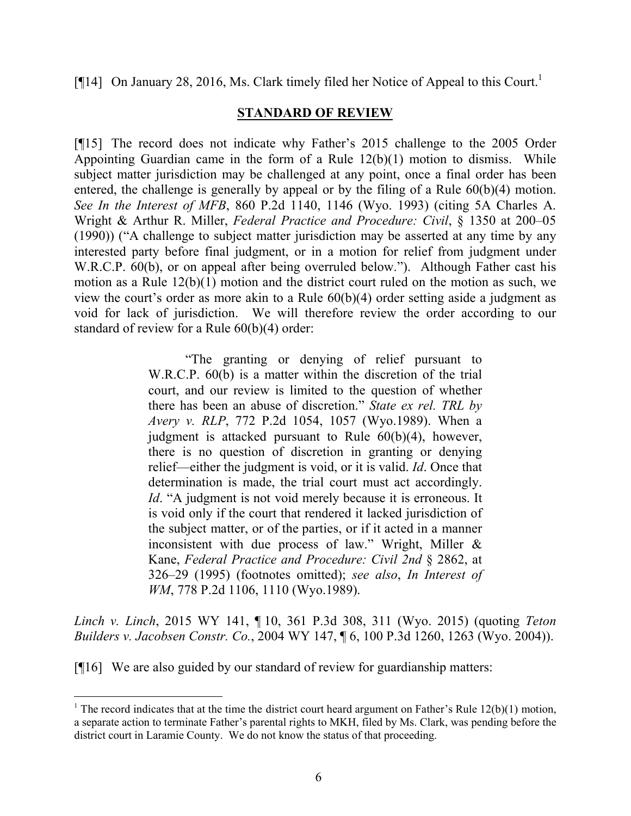[ $[14]$  On January 28, 2016, Ms. Clark timely filed her Notice of Appeal to this Court.<sup>1</sup>

## **STANDARD OF REVIEW**

[¶15] The record does not indicate why Father's 2015 challenge to the 2005 Order Appointing Guardian came in the form of a Rule  $12(b)(1)$  motion to dismiss. While subject matter jurisdiction may be challenged at any point, once a final order has been entered, the challenge is generally by appeal or by the filing of a Rule 60(b)(4) motion. *See In the Interest of MFB*, 860 P.2d 1140, 1146 (Wyo. 1993) (citing 5A Charles A. Wright & Arthur R. Miller, *Federal Practice and Procedure: Civil*, § 1350 at 200–05 (1990)) ("A challenge to subject matter jurisdiction may be asserted at any time by any interested party before final judgment, or in a motion for relief from judgment under W.R.C.P. 60(b), or on appeal after being overruled below."). Although Father cast his motion as a Rule 12(b)(1) motion and the district court ruled on the motion as such, we view the court's order as more akin to a Rule 60(b)(4) order setting aside a judgment as void for lack of jurisdiction. We will therefore review the order according to our standard of review for a Rule 60(b)(4) order:

> "The granting or denying of relief pursuant to W.R.C.P. 60(b) is a matter within the discretion of the trial court, and our review is limited to the question of whether there has been an abuse of discretion." *State ex rel. TRL by Avery v. RLP*, 772 P.2d 1054, 1057 (Wyo.1989). When a judgment is attacked pursuant to Rule 60(b)(4), however, there is no question of discretion in granting or denying relief—either the judgment is void, or it is valid. *Id*. Once that determination is made, the trial court must act accordingly. *Id.* "A judgment is not void merely because it is erroneous. It is void only if the court that rendered it lacked jurisdiction of the subject matter, or of the parties, or if it acted in a manner inconsistent with due process of law." Wright, Miller  $\&$ Kane, *Federal Practice and Procedure: Civil 2nd* § 2862, at 326–29 (1995) (footnotes omitted); *see also*, *In Interest of WM*, 778 P.2d 1106, 1110 (Wyo.1989).

*Linch v. Linch*, 2015 WY 141, ¶ 10, 361 P.3d 308, 311 (Wyo. 2015) (quoting *Teton Builders v. Jacobsen Constr. Co.*, 2004 WY 147, ¶ 6, 100 P.3d 1260, 1263 (Wyo. 2004)).

[¶16] We are also guided by our standard of review for guardianship matters:

l

<sup>&</sup>lt;sup>1</sup> The record indicates that at the time the district court heard argument on Father's Rule  $12(b)(1)$  motion, a separate action to terminate Father's parental rights to MKH, filed by Ms. Clark, was pending before the district court in Laramie County. We do not know the status of that proceeding.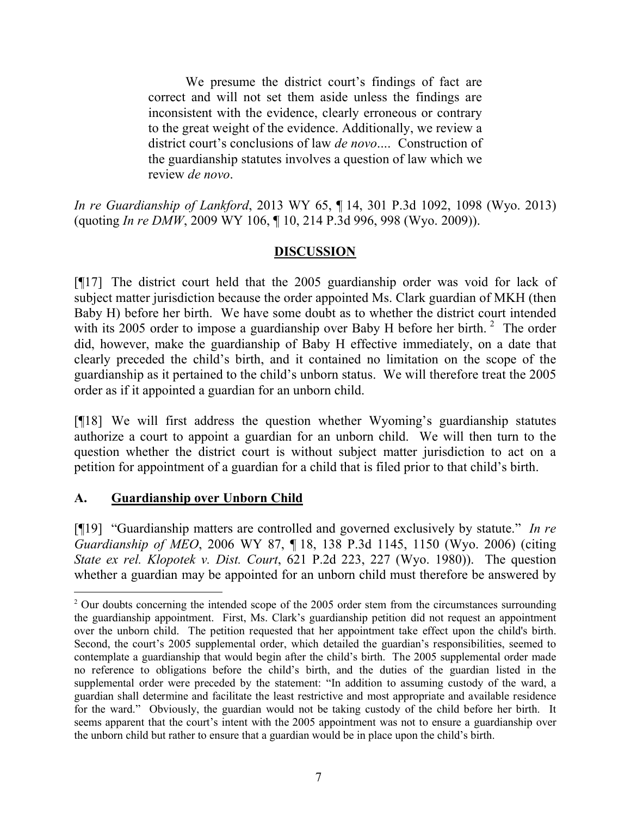We presume the district court's findings of fact are correct and will not set them aside unless the findings are inconsistent with the evidence, clearly erroneous or contrary to the great weight of the evidence. Additionally, we review a district court's conclusions of law *de novo*.... Construction of the guardianship statutes involves a question of law which we review *de novo*.

*In re Guardianship of Lankford*, 2013 WY 65, ¶ 14, 301 P.3d 1092, 1098 (Wyo. 2013) (quoting *In re DMW*, 2009 WY 106, ¶ 10, 214 P.3d 996, 998 (Wyo. 2009)).

# **DISCUSSION**

[¶17] The district court held that the 2005 guardianship order was void for lack of subject matter jurisdiction because the order appointed Ms. Clark guardian of MKH (then Baby H) before her birth. We have some doubt as to whether the district court intended with its 2005 order to impose a guardianship over Baby H before her birth.<sup>2</sup> The order did, however, make the guardianship of Baby H effective immediately, on a date that clearly preceded the child's birth, and it contained no limitation on the scope of the guardianship as it pertained to the child's unborn status. We will therefore treat the 2005 order as if it appointed a guardian for an unborn child.

[¶18] We will first address the question whether Wyoming's guardianship statutes authorize a court to appoint a guardian for an unborn child. We will then turn to the question whether the district court is without subject matter jurisdiction to act on a petition for appointment of a guardian for a child that is filed prior to that child's birth.

# **A. Guardianship over Unborn Child**

[¶19] "Guardianship matters are controlled and governed exclusively by statute." *In re Guardianship of MEO*, 2006 WY 87, ¶ 18, 138 P.3d 1145, 1150 (Wyo. 2006) (citing *State ex rel. Klopotek v. Dist. Court*, 621 P.2d 223, 227 (Wyo. 1980)). The question whether a guardian may be appointed for an unborn child must therefore be answered by

<sup>&</sup>lt;sup>2</sup> Our doubts concerning the intended scope of the 2005 order stem from the circumstances surrounding the guardianship appointment. First, Ms. Clark's guardianship petition did not request an appointment over the unborn child. The petition requested that her appointment take effect upon the child's birth. Second, the court's 2005 supplemental order, which detailed the guardian's responsibilities, seemed to contemplate a guardianship that would begin after the child's birth. The 2005 supplemental order made no reference to obligations before the child's birth, and the duties of the guardian listed in the supplemental order were preceded by the statement: "In addition to assuming custody of the ward, a guardian shall determine and facilitate the least restrictive and most appropriate and available residence for the ward." Obviously, the guardian would not be taking custody of the child before her birth. It seems apparent that the court's intent with the 2005 appointment was not to ensure a guardianship over the unborn child but rather to ensure that a guardian would be in place upon the child's birth.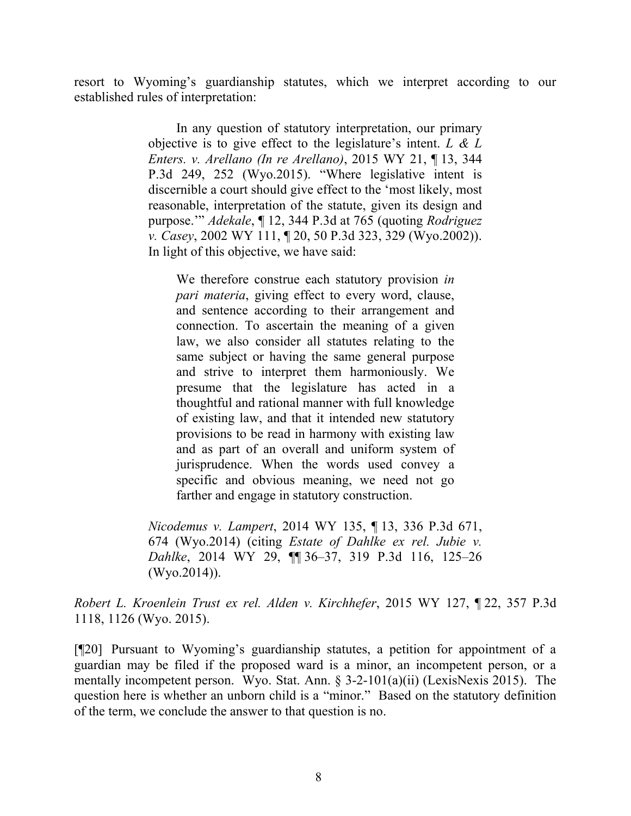resort to Wyoming's guardianship statutes, which we interpret according to our established rules of interpretation:

> In any question of statutory interpretation, our primary objective is to give effect to the legislature's intent. *L & L Enters. v. Arellano (In re Arellano)*, 2015 WY 21, ¶ 13, 344 P.3d 249, 252 (Wyo.2015). "Where legislative intent is discernible a court should give effect to the 'most likely, most reasonable, interpretation of the statute, given its design and purpose.'" *Adekale*, ¶ 12, 344 P.3d at 765 (quoting *Rodriguez v. Casey*, 2002 WY 111, ¶ 20, 50 P.3d 323, 329 (Wyo.2002)). In light of this objective, we have said:

We therefore construe each statutory provision *in pari materia*, giving effect to every word, clause, and sentence according to their arrangement and connection. To ascertain the meaning of a given law, we also consider all statutes relating to the same subject or having the same general purpose and strive to interpret them harmoniously. We presume that the legislature has acted in a thoughtful and rational manner with full knowledge of existing law, and that it intended new statutory provisions to be read in harmony with existing law and as part of an overall and uniform system of jurisprudence. When the words used convey a specific and obvious meaning, we need not go farther and engage in statutory construction.

*Nicodemus v. Lampert*, 2014 WY 135, ¶ 13, 336 P.3d 671, 674 (Wyo.2014) (citing *Estate of Dahlke ex rel. Jubie v. Dahlke*, 2014 WY 29, ¶¶ 36–37, 319 P.3d 116, 125–26 (Wyo.2014)).

*Robert L. Kroenlein Trust ex rel. Alden v. Kirchhefer*, 2015 WY 127, ¶ 22, 357 P.3d 1118, 1126 (Wyo. 2015).

[¶20] Pursuant to Wyoming's guardianship statutes, a petition for appointment of a guardian may be filed if the proposed ward is a minor, an incompetent person, or a mentally incompetent person. Wyo. Stat. Ann. § 3-2-101(a)(ii) (LexisNexis 2015). The question here is whether an unborn child is a "minor." Based on the statutory definition of the term, we conclude the answer to that question is no.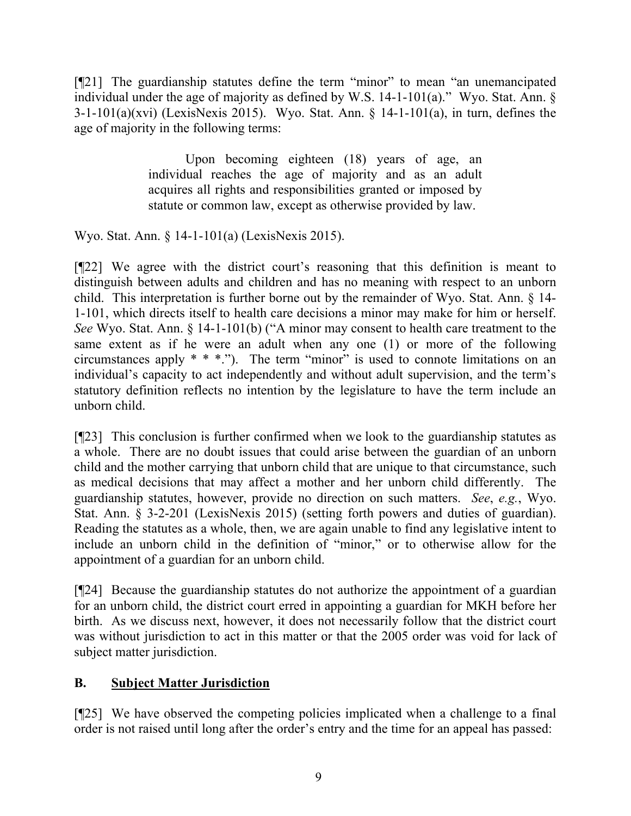[¶21] The guardianship statutes define the term "minor" to mean "an unemancipated individual under the age of majority as defined by W.S. 14-1-101(a)." Wyo. Stat. Ann.  $\S$ 3-1-101(a)(xvi) (LexisNexis 2015). Wyo. Stat. Ann. § 14-1-101(a), in turn, defines the age of majority in the following terms:

> Upon becoming eighteen (18) years of age, an individual reaches the age of majority and as an adult acquires all rights and responsibilities granted or imposed by statute or common law, except as otherwise provided by law.

Wyo. Stat. Ann. § 14-1-101(a) (LexisNexis 2015).

[¶22] We agree with the district court's reasoning that this definition is meant to distinguish between adults and children and has no meaning with respect to an unborn child. This interpretation is further borne out by the remainder of Wyo. Stat. Ann. § 14- 1-101, which directs itself to health care decisions a minor may make for him or herself. *See* Wyo. Stat. Ann. § 14-1-101(b) ("A minor may consent to health care treatment to the same extent as if he were an adult when any one (1) or more of the following circumstances apply  $* * *$ ."). The term "minor" is used to connote limitations on an individual's capacity to act independently and without adult supervision, and the term's statutory definition reflects no intention by the legislature to have the term include an unborn child.

[¶23] This conclusion is further confirmed when we look to the guardianship statutes as a whole. There are no doubt issues that could arise between the guardian of an unborn child and the mother carrying that unborn child that are unique to that circumstance, such as medical decisions that may affect a mother and her unborn child differently. The guardianship statutes, however, provide no direction on such matters. *See*, *e.g.*, Wyo. Stat. Ann. § 3-2-201 (LexisNexis 2015) (setting forth powers and duties of guardian). Reading the statutes as a whole, then, we are again unable to find any legislative intent to include an unborn child in the definition of "minor," or to otherwise allow for the appointment of a guardian for an unborn child.

[¶24] Because the guardianship statutes do not authorize the appointment of a guardian for an unborn child, the district court erred in appointing a guardian for MKH before her birth. As we discuss next, however, it does not necessarily follow that the district court was without jurisdiction to act in this matter or that the 2005 order was void for lack of subject matter jurisdiction.

# **B. Subject Matter Jurisdiction**

[¶25] We have observed the competing policies implicated when a challenge to a final order is not raised until long after the order's entry and the time for an appeal has passed: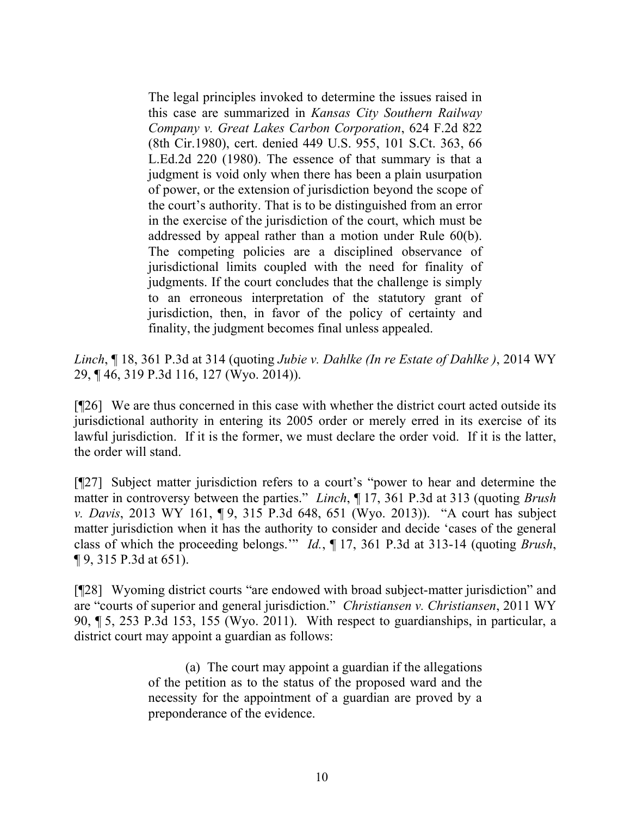The legal principles invoked to determine the issues raised in this case are summarized in *Kansas City Southern Railway Company v. Great Lakes Carbon Corporation*, 624 F.2d 822 (8th Cir.1980), cert. denied 449 U.S. 955, 101 S.Ct. 363, 66 L.Ed.2d 220 (1980). The essence of that summary is that a judgment is void only when there has been a plain usurpation of power, or the extension of jurisdiction beyond the scope of the court's authority. That is to be distinguished from an error in the exercise of the jurisdiction of the court, which must be addressed by appeal rather than a motion under Rule 60(b). The competing policies are a disciplined observance of jurisdictional limits coupled with the need for finality of judgments. If the court concludes that the challenge is simply to an erroneous interpretation of the statutory grant of jurisdiction, then, in favor of the policy of certainty and finality, the judgment becomes final unless appealed.

*Linch*, ¶ 18, 361 P.3d at 314 (quoting *Jubie v. Dahlke (In re Estate of Dahlke )*, 2014 WY 29, ¶ 46, 319 P.3d 116, 127 (Wyo. 2014)).

[¶26] We are thus concerned in this case with whether the district court acted outside its jurisdictional authority in entering its 2005 order or merely erred in its exercise of its lawful jurisdiction. If it is the former, we must declare the order void. If it is the latter, the order will stand.

[¶27] Subject matter jurisdiction refers to a court's "power to hear and determine the matter in controversy between the parties." *Linch*, ¶ 17, 361 P.3d at 313 (quoting *Brush v. Davis*, 2013 WY 161, ¶ 9, 315 P.3d 648, 651 (Wyo. 2013)). "A court has subject matter jurisdiction when it has the authority to consider and decide 'cases of the general class of which the proceeding belongs.'" *Id.*, ¶ 17, 361 P.3d at 313-14 (quoting *Brush*, ¶ 9, 315 P.3d at 651).

[¶28] Wyoming district courts "are endowed with broad subject-matter jurisdiction" and are "courts of superior and general jurisdiction." *Christiansen v. Christiansen*, 2011 WY 90, ¶ 5, 253 P.3d 153, 155 (Wyo. 2011). With respect to guardianships, in particular, a district court may appoint a guardian as follows:

> (a) The court may appoint a guardian if the allegations of the petition as to the status of the proposed ward and the necessity for the appointment of a guardian are proved by a preponderance of the evidence.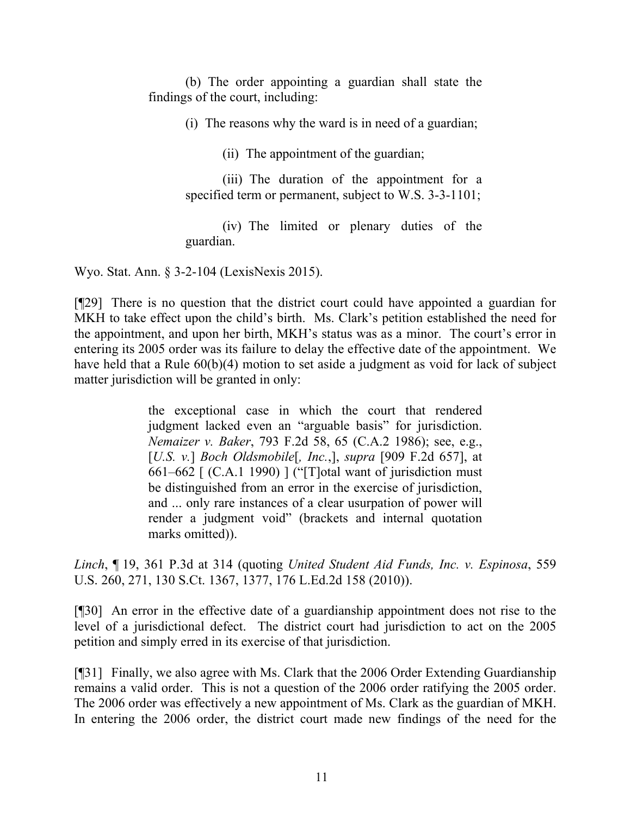(b) The order appointing a guardian shall state the findings of the court, including:

(i) The reasons why the ward is in need of a guardian;

(ii) The appointment of the guardian;

(iii) The duration of the appointment for a specified term or permanent, subject to W.S. 3-3-1101;

(iv) The limited or plenary duties of the guardian.

Wyo. Stat. Ann. § 3-2-104 (LexisNexis 2015).

[¶29] There is no question that the district court could have appointed a guardian for MKH to take effect upon the child's birth. Ms. Clark's petition established the need for the appointment, and upon her birth, MKH's status was as a minor. The court's error in entering its 2005 order was its failure to delay the effective date of the appointment. We have held that a Rule  $60(b)(4)$  motion to set aside a judgment as void for lack of subject matter jurisdiction will be granted in only:

> the exceptional case in which the court that rendered judgment lacked even an "arguable basis" for jurisdiction. *Nemaizer v. Baker*, 793 F.2d 58, 65 (C.A.2 1986); see, e.g., [*U.S. v.*] *Boch Oldsmobile*[*, Inc.*,], *supra* [909 F.2d 657], at 661–662 [ (C.A.1 1990) ] ("[T]otal want of jurisdiction must be distinguished from an error in the exercise of jurisdiction, and ... only rare instances of a clear usurpation of power will render a judgment void" (brackets and internal quotation marks omitted)).

*Linch*, ¶ 19, 361 P.3d at 314 (quoting *United Student Aid Funds, Inc. v. Espinosa*, 559 U.S. 260, 271, 130 S.Ct. 1367, 1377, 176 L.Ed.2d 158 (2010)).

[¶30] An error in the effective date of a guardianship appointment does not rise to the level of a jurisdictional defect. The district court had jurisdiction to act on the 2005 petition and simply erred in its exercise of that jurisdiction.

[¶31] Finally, we also agree with Ms. Clark that the 2006 Order Extending Guardianship remains a valid order. This is not a question of the 2006 order ratifying the 2005 order. The 2006 order was effectively a new appointment of Ms. Clark as the guardian of MKH. In entering the 2006 order, the district court made new findings of the need for the